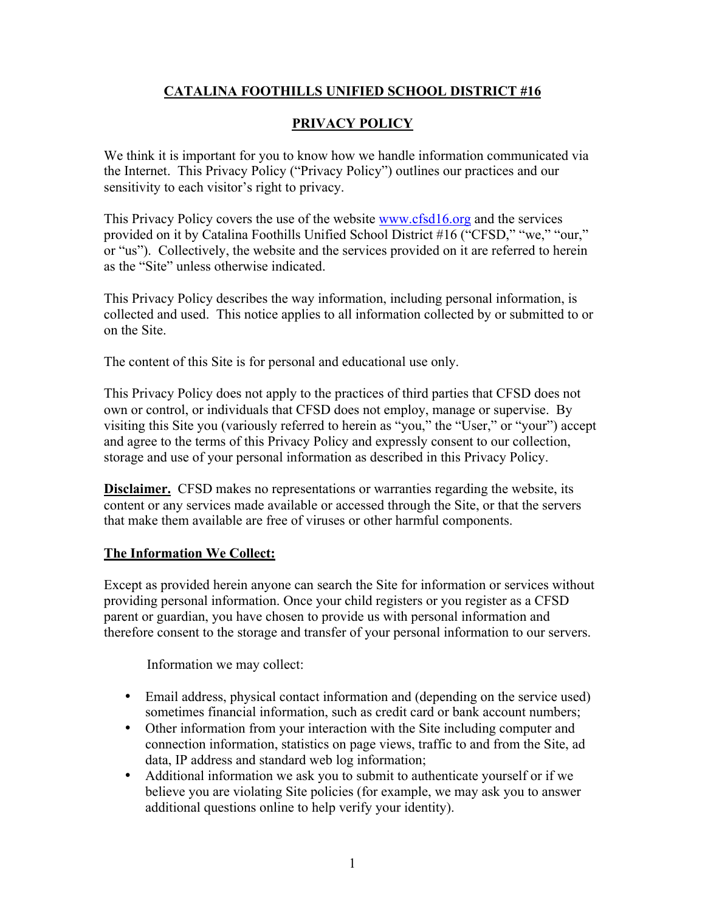## **CATALINA FOOTHILLS UNIFIED SCHOOL DISTRICT #16**

## **PRIVACY POLICY**

We think it is important for you to know how we handle information communicated via the Internet. This Privacy Policy ("Privacy Policy") outlines our practices and our sensitivity to each visitor's right to privacy.

This Privacy Policy covers the use of the website www.cfsd16.org and the services provided on it by Catalina Foothills Unified School District #16 ("CFSD," "we," "our," or "us"). Collectively, the website and the services provided on it are referred to herein as the "Site" unless otherwise indicated.

This Privacy Policy describes the way information, including personal information, is collected and used. This notice applies to all information collected by or submitted to or on the Site.

The content of this Site is for personal and educational use only.

This Privacy Policy does not apply to the practices of third parties that CFSD does not own or control, or individuals that CFSD does not employ, manage or supervise. By visiting this Site you (variously referred to herein as "you," the "User," or "your") accept and agree to the terms of this Privacy Policy and expressly consent to our collection, storage and use of your personal information as described in this Privacy Policy.

**Disclaimer.** CFSD makes no representations or warranties regarding the website, its content or any services made available or accessed through the Site, or that the servers that make them available are free of viruses or other harmful components.

## **The Information We Collect:**

Except as provided herein anyone can search the Site for information or services without providing personal information. Once your child registers or you register as a CFSD parent or guardian, you have chosen to provide us with personal information and therefore consent to the storage and transfer of your personal information to our servers.

Information we may collect:

- Email address, physical contact information and (depending on the service used) sometimes financial information, such as credit card or bank account numbers;
- Other information from your interaction with the Site including computer and connection information, statistics on page views, traffic to and from the Site, ad data, IP address and standard web log information;
- Additional information we ask you to submit to authenticate yourself or if we believe you are violating Site policies (for example, we may ask you to answer additional questions online to help verify your identity).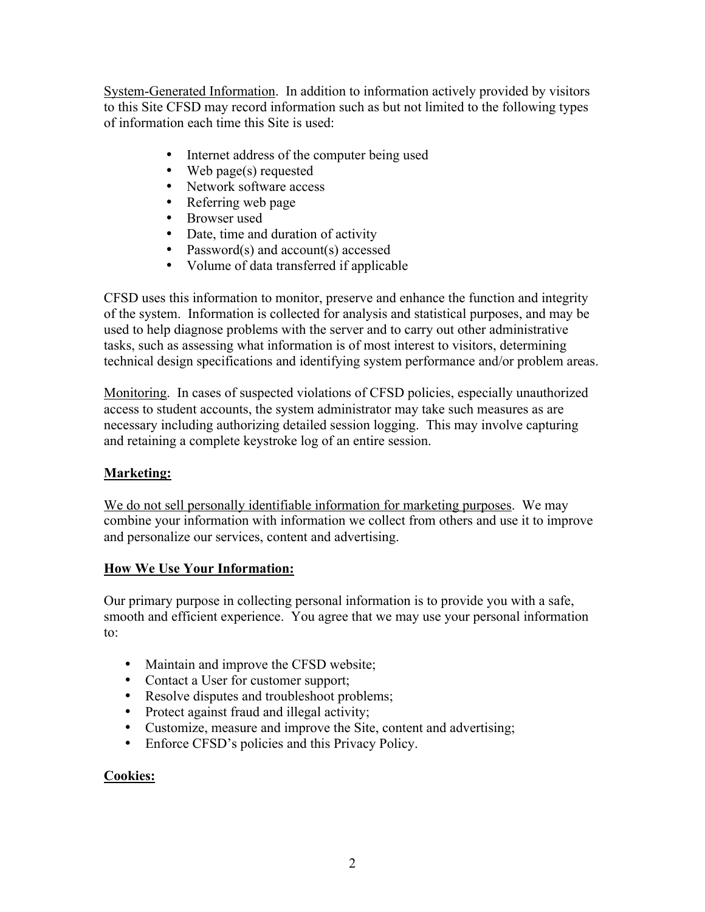System-Generated Information. In addition to information actively provided by visitors to this Site CFSD may record information such as but not limited to the following types of information each time this Site is used:

- Internet address of the computer being used
- Web page(s) requested
- Network software access
- Referring web page
- Browser used
- Date, time and duration of activity
- Password(s) and account(s) accessed
- Volume of data transferred if applicable

CFSD uses this information to monitor, preserve and enhance the function and integrity of the system. Information is collected for analysis and statistical purposes, and may be used to help diagnose problems with the server and to carry out other administrative tasks, such as assessing what information is of most interest to visitors, determining technical design specifications and identifying system performance and/or problem areas.

Monitoring. In cases of suspected violations of CFSD policies, especially unauthorized access to student accounts, the system administrator may take such measures as are necessary including authorizing detailed session logging. This may involve capturing and retaining a complete keystroke log of an entire session.

#### **Marketing:**

We do not sell personally identifiable information for marketing purposes. We may combine your information with information we collect from others and use it to improve and personalize our services, content and advertising.

#### **How We Use Your Information:**

Our primary purpose in collecting personal information is to provide you with a safe, smooth and efficient experience. You agree that we may use your personal information to:

- Maintain and improve the CFSD website;
- Contact a User for customer support;
- Resolve disputes and troubleshoot problems;
- Protect against fraud and illegal activity;
- Customize, measure and improve the Site, content and advertising;
- Enforce CFSD's policies and this Privacy Policy.

#### **Cookies:**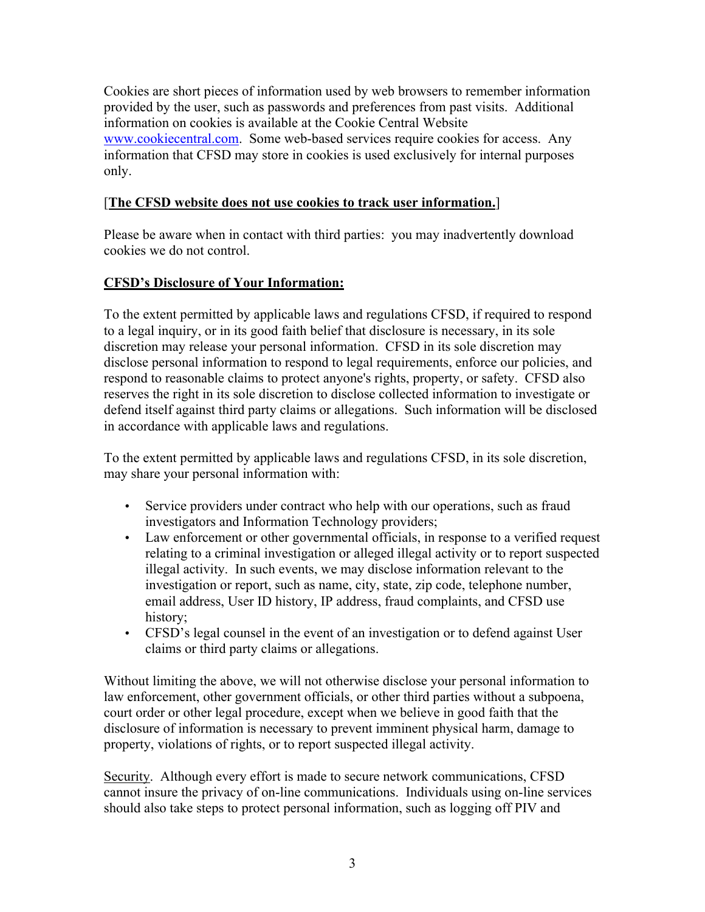Cookies are short pieces of information used by web browsers to remember information provided by the user, such as passwords and preferences from past visits. Additional information on cookies is available at the Cookie Central Website www.cookiecentral.com. Some web-based services require cookies for access. Any information that CFSD may store in cookies is used exclusively for internal purposes only.

### [**The CFSD website does not use cookies to track user information.**]

Please be aware when in contact with third parties: you may inadvertently download cookies we do not control.

## **CFSD's Disclosure of Your Information:**

To the extent permitted by applicable laws and regulations CFSD, if required to respond to a legal inquiry, or in its good faith belief that disclosure is necessary, in its sole discretion may release your personal information. CFSD in its sole discretion may disclose personal information to respond to legal requirements, enforce our policies, and respond to reasonable claims to protect anyone's rights, property, or safety. CFSD also reserves the right in its sole discretion to disclose collected information to investigate or defend itself against third party claims or allegations. Such information will be disclosed in accordance with applicable laws and regulations.

To the extent permitted by applicable laws and regulations CFSD, in its sole discretion, may share your personal information with:

- Service providers under contract who help with our operations, such as fraud investigators and Information Technology providers;
- Law enforcement or other governmental officials, in response to a verified request relating to a criminal investigation or alleged illegal activity or to report suspected illegal activity. In such events, we may disclose information relevant to the investigation or report, such as name, city, state, zip code, telephone number, email address, User ID history, IP address, fraud complaints, and CFSD use history;
- CFSD's legal counsel in the event of an investigation or to defend against User claims or third party claims or allegations.

Without limiting the above, we will not otherwise disclose your personal information to law enforcement, other government officials, or other third parties without a subpoena, court order or other legal procedure, except when we believe in good faith that the disclosure of information is necessary to prevent imminent physical harm, damage to property, violations of rights, or to report suspected illegal activity.

Security. Although every effort is made to secure network communications, CFSD cannot insure the privacy of on-line communications. Individuals using on-line services should also take steps to protect personal information, such as logging off PIV and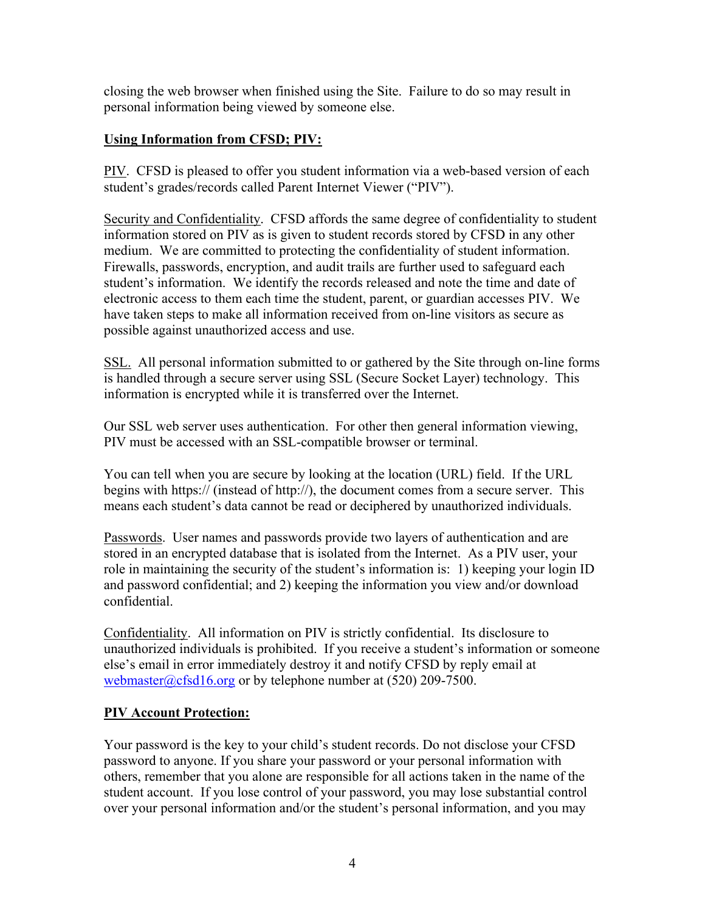closing the web browser when finished using the Site. Failure to do so may result in personal information being viewed by someone else.

### **Using Information from CFSD; PIV:**

PIV. CFSD is pleased to offer you student information via a web-based version of each student's grades/records called Parent Internet Viewer ("PIV").

Security and Confidentiality. CFSD affords the same degree of confidentiality to student information stored on PIV as is given to student records stored by CFSD in any other medium. We are committed to protecting the confidentiality of student information. Firewalls, passwords, encryption, and audit trails are further used to safeguard each student's information. We identify the records released and note the time and date of electronic access to them each time the student, parent, or guardian accesses PIV. We have taken steps to make all information received from on-line visitors as secure as possible against unauthorized access and use.

SSL. All personal information submitted to or gathered by the Site through on-line forms is handled through a secure server using SSL (Secure Socket Layer) technology. This information is encrypted while it is transferred over the Internet.

Our SSL web server uses authentication. For other then general information viewing, PIV must be accessed with an SSL-compatible browser or terminal.

You can tell when you are secure by looking at the location (URL) field. If the URL begins with https:// (instead of http://), the document comes from a secure server. This means each student's data cannot be read or deciphered by unauthorized individuals.

Passwords. User names and passwords provide two layers of authentication and are stored in an encrypted database that is isolated from the Internet. As a PIV user, your role in maintaining the security of the student's information is: 1) keeping your login ID and password confidential; and 2) keeping the information you view and/or download confidential.

Confidentiality. All information on PIV is strictly confidential. Its disclosure to unauthorized individuals is prohibited. If you receive a student's information or someone else's email in error immediately destroy it and notify CFSD by reply email at webmaster@cfsd16.org or by telephone number at (520) 209-7500.

#### **PIV Account Protection:**

Your password is the key to your child's student records. Do not disclose your CFSD password to anyone. If you share your password or your personal information with others, remember that you alone are responsible for all actions taken in the name of the student account. If you lose control of your password, you may lose substantial control over your personal information and/or the student's personal information, and you may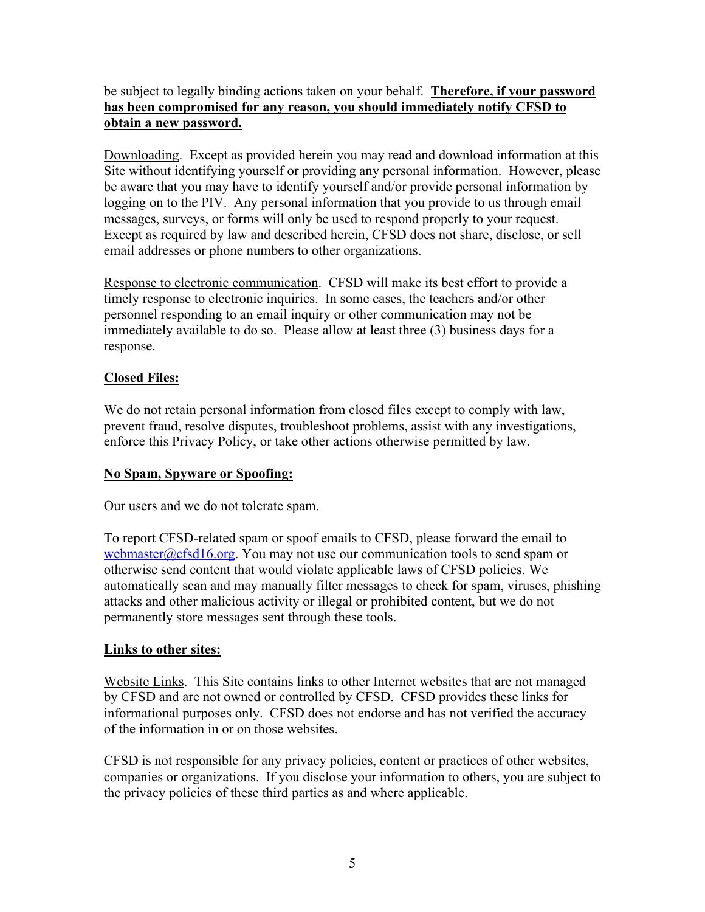#### be subject to legally binding actions taken on your behalf. **Therefore, if your password has been compromised for any reason, you should immediately notify CFSD to obtain a new password.**

Downloading. Except as provided herein you may read and download information at this Site without identifying yourself or providing any personal information. However, please be aware that you may have to identify yourself and/or provide personal information by logging on to the PIV. Any personal information that you provide to us through email messages, surveys, or forms will only be used to respond properly to your request. Except as required by law and described herein, CFSD does not share, disclose, or sell email addresses or phone numbers to other organizations.

Response to electronic communication. CFSD will make its best effort to provide a timely response to electronic inquiries. In some cases, the teachers and/or other personnel responding to an email inquiry or other communication may not be immediately available to do so. Please allow at least three (3) business days for a response.

## **Closed Files:**

We do not retain personal information from closed files except to comply with law, prevent fraud, resolve disputes, troubleshoot problems, assist with any investigations, enforce this Privacy Policy, or take other actions otherwise permitted by law.

## **No Spam, Spyware or Spoofing:**

Our users and we do not tolerate spam.

To report CFSD-related spam or spoof emails to CFSD, please forward the email to webmaster@cfsd16.org. You may not use our communication tools to send spam or otherwise send content that would violate applicable laws of CFSD policies. We automatically scan and may manually filter messages to check for spam, viruses, phishing attacks and other malicious activity or illegal or prohibited content, but we do not permanently store messages sent through these tools.

# **Links to other sites:**

Website Links. This Site contains links to other Internet websites that are not managed by CFSD and are not owned or controlled by CFSD. CFSD provides these links for informational purposes only. CFSD does not endorse and has not verified the accuracy of the information in or on those websites.

CFSD is not responsible for any privacy policies, content or practices of other websites, companies or organizations. If you disclose your information to others, you are subject to the privacy policies of these third parties as and where applicable.